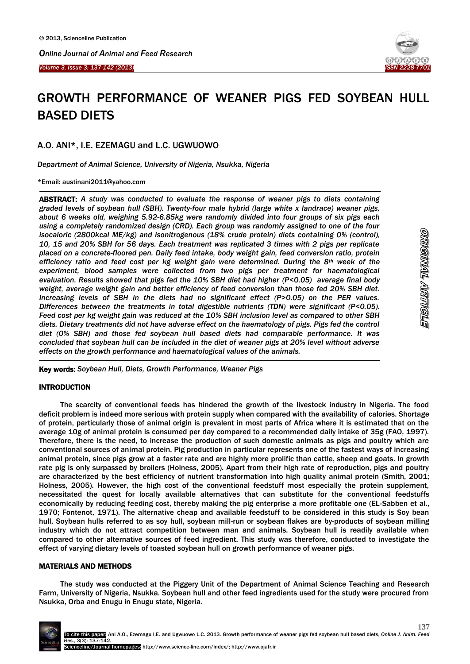

<u>eyyənyala alətiyələ</u>

# GROWTH PERFORMANCE OF WEANER PIGS FED SOYBEAN HULL BASED DIETS

A.O. ANI\*, I.E. EZEMAGU and L.C. UGWUOWO

*Department of Animal Science, University of Nigeria, Nsukka, Nigeria*

\*Email: austinani2011@yahoo.com

Ĩ

<u>.</u>

ABSTRACT: *A study was conducted to evaluate the response of weaner pigs to diets containing graded levels of soybean hull (SBH). Twenty-four male hybrid (large white x landrace) weaner pigs, about 6 weeks old, weighing 5.92-6.85kg were randomly divided into four groups of six pigs each using a completely randomized design (CRD). Each group was randomly assigned to one of the four isocaloric (2800kcal ME/kg) and isonitrogenous (18% crude protein) diets containing 0% (control), 10, 15 and 20% SBH for 56 days. Each treatment was replicated 3 times with 2 pigs per replicate placed on a concrete-floored pen. Daily feed intake, body weight gain, feed conversion ratio, protein efficiency ratio and feed cost per kg weight gain were determined. During the 8th week of the experiment, blood samples were collected from two pigs per treatment for haematological evaluation. Results showed that pigs fed the 10% SBH diet had higher (P<0.05) average final body weight, average weight gain and better efficiency of feed conversion than those fed 20% SBH diet. Increasing levels of SBH in the diets had no significant effect (P>0.05) on the PER values. Differences between the treatments in total digestible nutrients (TDN) were significant (P<0.05). Feed cost per kg weight gain was reduced at the 10% SBH inclusion level as compared to other SBH diets. Dietary treatments did not have adverse effect on the haematology of pigs. Pigs fed the control diet (0% SBH) and those fed soybean hull based diets had comparable performance. It was concluded that soybean hull can be included in the diet of weaner pigs at 20% level without adverse effects on the growth performance and haematological values of the animals.*

Key words: *Soybean Hull, Diets, Growth Performance, Weaner Pigs*

# INTRODUCTION

 $\overline{a}$ 

The scarcity of conventional feeds has hindered the growth of the livestock industry in Nigeria. The food deficit problem is indeed more serious with protein supply when compared with the availability of calories. Shortage of protein, particularly those of animal origin is prevalent in most parts of Africa where it is estimated that on the average 10g of animal protein is consumed per day compared to a recommended daily intake of 35g (FAO, 1997). Therefore, there is the need, to increase the production of such domestic animals as pigs and poultry which are conventional sources of animal protein. Pig production in particular represents one of the fastest ways of increasing animal protein, since pigs grow at a faster rate and are highly more prolific than cattle, sheep and goats. In growth rate pig is only surpassed by broilers (Holness, 2005). Apart from their high rate of reproduction, pigs and poultry are characterized by the best efficiency of nutrient transformation into high quality animal protein (Smith, 2001; Holness, 2005). However, the high cost of the conventional feedstuff most especially the protein supplement, necessitated the quest for locally available alternatives that can substitute for the conventional feedstuffs economically by reducing feeding cost, thereby making the pig enterprise a more profitable one (EL-Sabben et al., 1970; Fontenot, 1971). The alternative cheap and available feedstuff to be considered in this study is Soy bean hull. Soybean hulls referred to as soy hull, soybean mill-run or soybean flakes are by-products of soybean milling industry which do not attract competition between man and animals. Soybean hull is readily available when compared to other alternative sources of feed ingredient. This study was therefore, conducted to investigate the effect of varying dietary levels of toasted soybean hull on growth performance of weaner pigs.

# MATERIALS AND METHODS

The study was conducted at the Piggery Unit of the Department of Animal Science Teaching and Research Farm, University of Nigeria, Nsukka. Soybean hull and other feed ingredients used for the study were procured from Nsukka, Orba and Enugu in Enugu state, Nigeria.

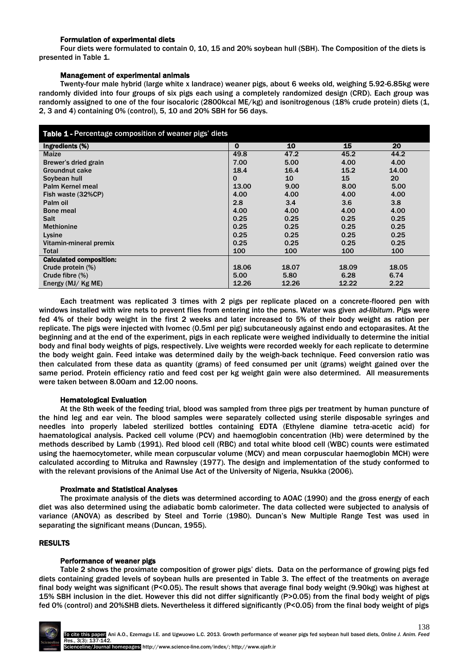### Formulation of experimental diets

Four diets were formulated to contain 0, 10, 15 and 20% soybean hull (SBH). The Composition of the diets is presented in Table 1.

### Management of experimental animals

Twenty-four male hybrid (large white x landrace) weaner pigs, about 6 weeks old, weighing 5.92-6.85kg were randomly divided into four groups of six pigs each using a completely randomized design (CRD). Each group was randomly assigned to one of the four isocaloric (2800kcal ME/kg) and isonitrogenous (18% crude protein) diets (1, 2, 3 and 4) containing 0% (control), 5, 10 and 20% SBH for 56 days.

| Table 1 - Percentage composition of weaner pigs' diets |             |       |       |       |  |  |
|--------------------------------------------------------|-------------|-------|-------|-------|--|--|
| Ingredients (%)                                        | $\mathbf 0$ | 10    | 15    | 20    |  |  |
| Maize                                                  | 49.8        | 47.2  | 45.2  | 44.2  |  |  |
| Brewer's dried grain                                   | 7.00        | 5.00  | 4.00  | 4.00  |  |  |
| Groundnut cake                                         | 18.4        | 16.4  | 15.2  | 14.00 |  |  |
| Soybean hull                                           | $\mathbf 0$ | 10    | 15    | 20    |  |  |
| Palm Kernel meal                                       | 13.00       | 9.00  | 8.00  | 5.00  |  |  |
| Fish waste (32%CP)                                     | 4.00        | 4.00  | 4.00  | 4.00  |  |  |
| Palm oil                                               | 2.8         | 3.4   | 3.6   | 3.8   |  |  |
| <b>Bone meal</b>                                       | 4.00        | 4.00  | 4.00  | 4.00  |  |  |
| Salt                                                   | 0.25        | 0.25  | 0.25  | 0.25  |  |  |
| <b>Methionine</b>                                      | 0.25        | 0.25  | 0.25  | 0.25  |  |  |
| Lysine                                                 | 0.25        | 0.25  | 0.25  | 0.25  |  |  |
| Vitamin-mineral premix                                 | 0.25        | 0.25  | 0.25  | 0.25  |  |  |
| Total                                                  | 100         | 100   | 100   | 100   |  |  |
| <b>Calculated composition:</b>                         |             |       |       |       |  |  |
| Crude protein (%)                                      | 18.06       | 18.07 | 18.09 | 18.05 |  |  |
| Crude fibre $(\%)$                                     | 5.00        | 5.80  | 6.28  | 6.74  |  |  |
| Energy $(MJ/KgME)$                                     | 12.26       | 12.26 | 12.22 | 2.22  |  |  |

Each treatment was replicated 3 times with 2 pigs per replicate placed on a concrete-floored pen with windows installed with wire nets to prevent flies from entering into the pens. Water was given *ad-libitum*. Pigs were fed 4% of their body weight in the first 2 weeks and later increased to 5% of their body weight as ration per replicate. The pigs were injected with Ivomec (0.5ml per pig) subcutaneously against endo and ectoparasites. At the beginning and at the end of the experiment, pigs in each replicate were weighed individually to determine the initial body and final body weights of pigs, respectively. Live weights were recorded weekly for each replicate to determine the body weight gain. Feed intake was determined daily by the weigh-back technique. Feed conversion ratio was then calculated from these data as quantity (grams) of feed consumed per unit (grams) weight gained over the same period. Protein efficiency ratio and feed cost per kg weight gain were also determined. All measurements were taken between 8.00am and 12.00 noons.

### Hematological Evaluation

At the 8th week of the feeding trial, blood was sampled from three pigs per treatment by human puncture of the hind leg and ear vein. The blood samples were separately collected using sterile disposable syringes and needles into properly labeled sterilized bottles containing EDTA (Ethylene diamine tetra-acetic acid) for haematological analysis. Packed cell volume (PCV) and haemoglobin concentration (Hb) were determined by the methods described by Lamb (1991). Red blood cell (RBC) and total white blood cell (WBC) counts were estimated using the haemocytometer, while mean corpuscular volume (MCV) and mean corpuscular haemoglobin MCH) were calculated according to Mitruka and Rawnsley (1977). The design and implementation of the study conformed to with the relevant provisions of the Animal Use Act of the University of Nigeria, Nsukka (2006).

### Proximate and Statistical Analyses

The proximate analysis of the diets was determined according to AOAC (1990) and the gross energy of each diet was also determined using the adiabatic bomb calorimeter. The data collected were subjected to analysis of variance (ANOVA) as described by Steel and Torrie (1980). Duncan's New Multiple Range Test was used in separating the significant means (Duncan, 1955).

# RESULTS

# Performance of weaner pigs

Table 2 shows the proximate composition of grower pigs' diets. Data on the performance of growing pigs fed diets containing graded levels of soybean hulls are presented in Table 3. The effect of the treatments on average final body weight was significant (P<0.05). The result shows that average final body weight (9.90kg) was highest at 15% SBH inclusion in the diet. However this did not differ significantly (P>0.05) from the final body weight of pigs fed 0% (control) and 20%SHB diets. Nevertheless it differed significantly (P<0.05) from the final body weight of pigs

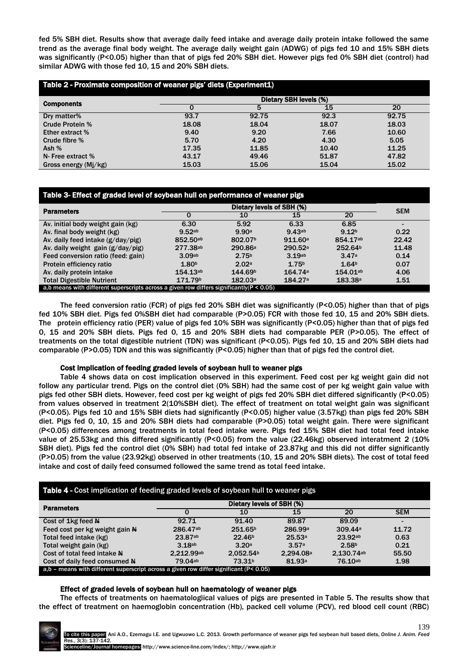fed 5% SBH diet. Results show that average daily feed intake and average daily protein intake followed the same trend as the average final body weight. The average daily weight gain (ADWG) of pigs fed 10 and 15% SBH diets was significantly (P<0.05) higher than that of pigs fed 20% SBH diet. However pigs fed 0% SBH diet (control) had similar ADWG with those fed 10, 15 and 20% SBH diets.

| Table 2 - Proximate composition of weaner pigs' diets (Experiment1) |                        |       |       |       |  |
|---------------------------------------------------------------------|------------------------|-------|-------|-------|--|
| <b>Components</b>                                                   | Dietary SBH levels (%) |       |       |       |  |
|                                                                     |                        | 5     | 15    | 20    |  |
| Dry matter%                                                         | 93.7                   | 92.75 | 92.3  | 92.75 |  |
| <b>Crude Protein %</b>                                              | 18.08                  | 18.04 | 18.07 | 18.03 |  |
| <b>Ether extract %</b>                                              | 9.40                   | 9.20  | 7.66  | 10.60 |  |
| Crude fibre %                                                       | 5.70                   | 4.20  | 4.30  | 5.05  |  |
| Ash $%$                                                             | 17.35                  | 11.85 | 10.40 | 11.25 |  |
| N- Free extract %                                                   | 43.17                  | 49.46 | 51.87 | 47.82 |  |
| Gross energy (Mj/kg)                                                | 15.03                  | 15.06 | 15.04 | 15.02 |  |

# Table 3- Effect of graded level of soybean hull on performance of weaner pigs

| <b>Parameters</b>                                                                           | Dietary levels of SBH (%) |                     |                     |                     | <b>SEM</b> |
|---------------------------------------------------------------------------------------------|---------------------------|---------------------|---------------------|---------------------|------------|
|                                                                                             |                           | 10                  | 15                  | 20                  |            |
| Av. initial body weight gain (kg)                                                           | 6.30                      | 5.92                | 6.33                | 6.85                |            |
| Av. final body weight (kg)                                                                  | 9.52ab                    | 9.90a               | 9.43ab              | 9.12 <sup>b</sup>   | 0.22       |
| Av. daily feed intake (g/day/pig)                                                           | 852.50ab                  | 802.07 <sup>b</sup> | 911.60 <sup>a</sup> | 854.17ab            | 22.42      |
| Av. daily weight gain $(g/day/pig)$                                                         | 277.38ab                  | 290.86 <sup>a</sup> | 290.52a             | 252.64 <sup>b</sup> | 11.48      |
| Feed conversion ratio (feed: gain)                                                          | 3.09 <sub>ab</sub>        | 2.75 <sup>b</sup>   | 3.19ab              | 3.47a               | 0.14       |
| Protein efficiency ratio                                                                    | 1.80 <sup>b</sup>         | 2.02a               | 1.75 <sup>b</sup>   | 1.64 <sup>b</sup>   | 0.07       |
| Av. daily protein intake                                                                    | 154.13ab                  | 144.69b             | 164.74a             | 154.01ab            | 4.06       |
| <b>Total Digestible Nutrient</b>                                                            | 171.79 <sup>b</sup>       | 182.03a             | 184.27 <sup>a</sup> | 183.38 <sup>a</sup> | 1.51       |
| a,b means with different superscripts across a given row differs significantly $(P < 0.05)$ |                           |                     |                     |                     |            |

The feed conversion ratio (FCR) of pigs fed 20% SBH diet was significantly (P<0.05) higher than that of pigs fed 10% SBH diet. Pigs fed 0%SBH diet had comparable (P>0.05) FCR with those fed 10, 15 and 20% SBH diets. The protein efficiency ratio (PER) value of pigs fed 10% SBH was significantly (P<0.05) higher than that of pigs fed 0, 15 and 20% SBH diets. Pigs fed 0, 15 and 20% SBH diets had comparable PER (P>0.05). The effect of treatments on the total digestible nutrient (TDN) was significant (P<0.05). Pigs fed 10, 15 and 20% SBH diets had comparable (P>0.05) TDN and this was significantly (P<0.05) higher than that of pigs fed the control diet.

### Cost implication of feeding graded levels of soybean hull to weaner pigs

Table 4 shows data on cost implication observed in this experiment. Feed cost per kg weight gain did not follow any particular trend. Pigs on the control diet (0% SBH) had the same cost of per kg weight gain value with pigs fed other SBH diets. However, feed cost per kg weight of pigs fed 20% SBH diet differed significantly (P<0.05) from values observed in treatment 2(10%SBH diet). The effect of treatment on total weight gain was significant (P<0.05). Pigs fed 10 and 15% SBH diets had significantly (P<0.05) higher value (3.57kg) than pigs fed 20% SBH diet. Pigs fed 0, 10, 15 and 20% SBH diets had comparable (P>0.05) total weight gain. There were significant (P<0.05) differences among treatments in total feed intake were. Pigs fed 15% SBH diet had total feed intake value of 25.53kg and this differed significantly (P<0.05) from the value (22.46kg) observed interatment 2 (10% SBH diet). Pigs fed the control diet (0% SBH) had total fed intake of 23.87kg and this did not differ significantly (P>0.05) from the value (23.92kg) observed in other treatments (10, 15 and 20% SBH diets). The cost of total feed intake and cost of daily feed consumed followed the same trend as total feed intake.

| Table 4 - Cost implication of feeding graded levels of soybean hull to weaner pigs            |                           |                       |                     |                   |            |
|-----------------------------------------------------------------------------------------------|---------------------------|-----------------------|---------------------|-------------------|------------|
| <b>Parameters</b>                                                                             | Dietary levels of SBH (%) |                       |                     |                   |            |
|                                                                                               | O                         | 10                    | 15                  | 20                | <b>SEM</b> |
| Cost of 1kg feed N                                                                            | 92.71                     | 91.40                 | 89.87               | 89.09             |            |
| Feed cost per kg weight gain N                                                                | 286.47ab                  | 251.65 <sup>b</sup>   | 286.99 <sup>a</sup> | 309.44a           | 11.72      |
| Total feed intake (kg)                                                                        | 23.87ab                   | 22.46 <sup>b</sup>    | 25.53a              | 23.92ab           | 0.63       |
| Total weight gain (kg)                                                                        | 3.18ab                    | 3.20a                 | 3.57a               | 2.58 <sup>b</sup> | 0.21       |
| Cost of total feed intake N                                                                   | 2.212.99ab                | 2.052.54 <sup>b</sup> | 2.294.08a           | 2.130.74ab        | 55.50      |
| Cost of daily feed consumed N                                                                 | 79.04ab                   | 73.31 <sup>b</sup>    | 81.93a              | $76.10^{ab}$      | 1.98       |
| $a,b$ – means with different superscript across a given row differ significant ( $P < 0.05$ ) |                           |                       |                     |                   |            |

### Effect of graded levels of soybean hull on haematology of weaner pigs

The effects of treatments on haematologiical values of pigs are presented in Table 5. The results show that the effect of treatment on haemoglobin concentration (Hb), packed cell volume (PCV), red blood cell count (RBC)

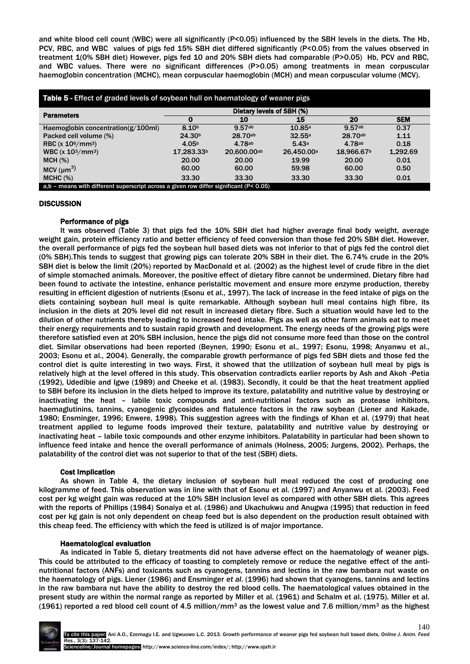and white blood cell count (WBC) were all significantly (P<0.05) influenced by the SBH levels in the diets. The Hb, PCV, RBC, and WBC values of pigs fed 15% SBH diet differed significantly (P<0.05) from the values observed in treatment 1(0% SBH diet) However, pigs fed 10 and 20% SBH diets had comparable (P>0.05) Hb, PCV and RBC, and WBC values. There were no significant differences (P>0.05) among treatments in mean corpuscular haemoglobin concentration (MCHC), mean corpuscular haemoglobin (MCH) and mean corpuscular volume (MCV).

| Table 5 - Effect of graded levels of soybean hull on haematology of weaner pigs             |                           |              |                        |                        |            |
|---------------------------------------------------------------------------------------------|---------------------------|--------------|------------------------|------------------------|------------|
| <b>Parameters</b>                                                                           | Dietary levels of SBH (%) |              |                        |                        |            |
|                                                                                             | 0                         | 10           | 15                     | 20                     | <b>SEM</b> |
| Haemoglobin concentration( $g/100$ ml)                                                      | 8.10 <sup>b</sup>         | 9.57ab       | 10.85a                 | 9.57ab                 | 0.37       |
| Packed cell volume (%)                                                                      | 24.30 <sup>b</sup>        | $28.70^{ab}$ | 32.55a                 | 28.70ab                | 1.11       |
| RBC $(x 10^6/mm^3)$                                                                         | 4.05 <sup>b</sup>         | 4.78ab       | 5.43a                  | 4.78ab                 | 0.18       |
| <b>WBC</b> $(x 10^3/mm^3)$                                                                  | 17,283.33 <sup>b</sup>    | 20.600.00ab  | 26.450.00 <sup>a</sup> | 18,966.67 <sup>b</sup> | 1,292.69   |
| MCH (%)                                                                                     | 20.00                     | 20.00        | 19.99                  | 20.00                  | 0.01       |
| MCV $(\mu m^3)$                                                                             | 60.00                     | 60.00        | 59.98                  | 60.00                  | 0.50       |
| MCHC (%)                                                                                    | 33.30                     | 33.30        | 33.30                  | 33.30                  | 0.01       |
| a,b – means with different superscript across a given row differ significant ( $P < 0.05$ ) |                           |              |                        |                        |            |

# **DISCUSSION**

# Performance of pigs

It was observed (Table 3) that pigs fed the 10% SBH diet had higher average final body weight, average weight gain, protein efficiency ratio and better efficiency of feed conversion than those fed 20% SBH diet. However, the overall performance of pigs fed the soybean hull based diets was not inferior to that of pigs fed the control diet (0% SBH).This tends to suggest that growing pigs can tolerate 20% SBH in their diet. The 6.74% crude in the 20% SBH diet is below the limit (20%) reported by MacDonald et al. (2002) as the highest level of crude fibre in the diet of simple stomached animals. Moreover, the positive effect of dietary fibre cannot be undermined. Dietary fibre had been found to activate the intestine, enhance peristaltic movement and ensure more enzyme production, thereby resulting in efficient digestion of nutrients (Esonu et al., 1997). The lack of increase in the feed intake of pigs on the diets containing soybean hull meal is quite remarkable. Although soybean hull meal contains high fibre, its inclusion in the diets at 20% level did not result in increased dietary fibre. Such a situation would have led to the dilution of other nutrients thereby leading to increased feed intake. Pigs as well as other farm animals eat to meet their energy requirements and to sustain rapid growth and development. The energy needs of the growing pigs were therefore satisfied even at 20% SBH inclusion, hence the pigs did not consume more feed than those on the control diet. Similar observations had been reported (Beynen, 1990; Esonu et al., 1997; Esonu, 1998; Anyanwu et al., 2003; Esonu et al., 2004). Generally, the comparable growth performance of pigs fed SBH diets and those fed the control diet is quite interesting in two ways. First, it showed that the utilization of soybean hull meal by pigs is relatively high at the level offered in this study. This observation contradicts earlier reports by Ash and Akoh -Petia (1992), Udedibie and Igwe (1989) and Cheeke et al. (1983). Secondly, it could be that the heat treatment applied to SBH before its inclusion in the diets helped to improve its texture, palatability and nutritive value by destroying or inactivating the heat – labile toxic compounds and anti-nutritional factors such as protease inhibitors, haemaglutinins, tannins, cyanogenic glycosides and flatulence factors in the raw soybean (Liener and Kakade, 1980; Ensminger, 1996; Enwere, 1998). This suggestion agrees with the findings of Khan et al. (1979) that heat treatment applied to legume foods improved their texture, palatability and nutritive value by destroying or inactivating heat – labile toxic compounds and other enzyme inhibitors. Palatability in particular had been shown to influence feed intake and hence the overall performance of animals (Holness, 2005; Jurgens, 2002). Perhaps, the palatability of the control diet was not superior to that of the test (SBH) diets.

# Cost Implication

As shown in Table 4, the dietary inclusion of soybean hull meal reduced the cost of producing one kilogramme of feed. This observation was in line with that of Esonu et al. (1997) and Anyanwu et al. (2003). Feed cost per kg weight gain was reduced at the 10% SBH inclusion level as compared with other SBH diets. This agrees with the reports of Phillips (1984) Sonaiya et al. (1986) and Ukachukwu and Anugwa (1995) that reduction in feed cost per kg gain is not only dependent on cheap feed but is also dependent on the production result obtained with this cheap feed. The efficiency with which the feed is utilized is of major importance.

# Haematological evaluation

As indicated in Table 5, dietary treatments did not have adverse effect on the haematology of weaner pigs. This could be attributed to the efficacy of toasting to completely remove or reduce the negative effect of the antinutritional factors (ANFs) and toxicants such as cyanogens, tannins and lectins in the raw bambara nut waste on the haematology of pigs. Liener (1986) and Ensminger *et al*. (1996) had shown that cyanogens, tannins and lectins in the raw bambara nut have the ability to destroy the red blood cells. The haematological values obtained in the present study are within the normal range as reported by Miller et al. (1961) and Schalm et al. (1975). Miller et al. (1961) reported a red blood cell count of 4.5 million/mm<sup>3</sup> as the lowest value and 7.6 million/mm<sup>3</sup> as the highest

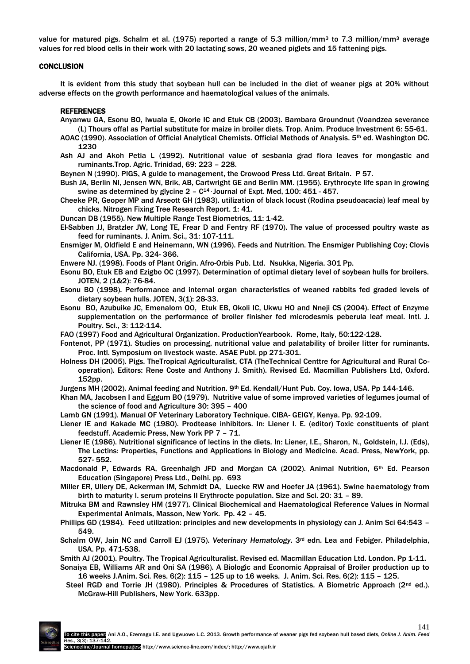value for matured pigs. Schalm et al. (1975) reported a range of 5.3 million/mm<sup>3</sup> to 7.3 million/mm<sup>3</sup> average values for red blood cells in their work with 20 lactating sows, 20 weaned piglets and 15 fattening pigs.

### **CONCLUSION**

It is evident from this study that soybean hull can be included in the diet of weaner pigs at 20% without adverse effects on the growth performance and haematological values of the animals.

### **REFERENCES**

- Anyanwu GA, Esonu BO, Iwuala E, Okorie IC and Etuk CB (2003). Bambara Groundnut (Voandzea severance (L) Thours offal as Partial substitute for maize in broiler diets. Trop. Anim. Produce Investment 6: 55-61.
- AOAC (1990). Association of Official Analytical Chemists. Official Methods of Analysis. 5th ed. Washington DC. 1230
- Ash AJ and Akoh Petia L (1992). Nutritional value of sesbania grad flora leaves for mongastic and ruminants.Trop. Agric. Trinidad, 69: 223 – 228.

Beynen N (1990). PIGS. A guide to management, the Crowood Press Ltd. Great Britain. P 57.

- Bush JA, Berlin NI, Jensen WN, Brik, AB, Cartwright GE and Berlin MM. (1955). Erythrocyte life span in growing swine as determined by glycine  $2 - C^{14}$  Journal of Expt. Med, 100: 451 - 457.
- Cheeke PR, Geoper MP and Arseott GH (1983). utilization of black locust (Rodina pseudoacacia) leaf meal by chicks. Nitrogen Fixing Tree Research Report. 1: 41.

Duncan DB (1955). New Multiple Range Test Biometrics, 11: 1-42.

- El-Sabben JJ, Bratzler JW, Long TE, Frear D and Fentry RF (1970). The value of processed poultry waste as feed for ruminants. J. Anim. Sci., 31: 107-111.
- Ensmiger M, Oldfield E and Heinemann, WN (1996). Feeds and Nutrition. The Ensmiger Publishing Coy; Clovis California, USA. Pp. 324- 366.
- Enwere NJ. (1998). Foods of Plant Origin. Afro-Orbis Pub. Ltd. Nsukka, Nigeria. 301 Pp.
- Esonu BO, Etuk EB and Ezigbo OC (1997). Determination of optimal dietary level of soybean hulls for broilers. JOTEN, 2 (1&2): 76-84.
- Esonu BO (1998). Performance and internal organ characteristics of weaned rabbits fed graded levels of dietary soybean hulls. JOTEN, 3(1): 28-33.
- Esonu BO, Azubuike JC, Emenalom OO, Etuk EB, Okoli IC, Ukwu HO and Nneji CS (2004). Effect of Enzyme supplementation on the performance of broiler finisher fed microdesmis peberula leaf meal. Intl. J. Poultry. Sci., 3: 112-114.
- FAO (1997) Food and Agricultural Organization. ProductionYearbook. Rome, Italy, 50:122-128.
- Fontenot, PP (1971). Studies on processing, nutritional value and palatability of broiler litter for ruminants. Proc. Intl. Symposium on livestock waste. ASAE Publ. pp 271-301.
- Holness DH (2005). Pigs. TheTropical Agriculturalist, CTA (TheTechnical Centtre for Agricultural and Rural Cooperation). Editors: Rene Coste and Anthony J. Smith). Revised Ed. Macmillan Publishers Ltd, Oxford. 152pp.
- Jurgens MH (2002). Animal feeding and Nutrition. 9th Ed. Kendall/Hunt Pub. Coy. Iowa, USA. Pp 144-146.
- Khan MA, Jacobsen I and Eggum BO (1979). Nutritive value of some improved varieties of legumes journal of the science of food and Agriculture 30: 395 – 400
- Lamb GN (1991). Manual OF Veterinary Laboratory Technique. CIBA- GEIGY, Kenya. Pp. 92-109.
- Liener IE and Kakade MC (1980). Prodtease inhibitors. In: Liener I. E. (editor) Toxic constituents of plant feedstuff. Academic Press, New York PP 7 – 71.
- Liener IE (1986). Nutritional significance of lectins in the diets. In: Liener, I.E., Sharon, N., Goldstein, I.J. (Eds), The Lectins: Properties, Functions and Applications in Biology and Medicine. Acad. Press, NewYork, pp. 527- 552.
- Macdonald P, Edwards RA, Greenhalgh JFD and Morgan CA (2002). Animal Nutrition, 6<sup>th</sup> Ed. Pearson Education (Singapore) Press Ltd., Delhi. pp. 693
- Miller ER, Ullery DE, Ackerman IM, Schmidt DA, Luecke RW and Hoefer JA (1961). Swine haematology from birth to maturity I. serum proteins II Erythrocte population. Size and Sci. 20: 31 – 89.
- Mitruka BM and Rawnsley HM (1977). Clinical Biochemical and Haematological Reference Values in Normal Experimental Animals, Masson, New York. Pp. 42 – 45.
- Phillips GD (1984). Feed utilization: principles and new developments in physiology can J. Anim Sci 64:543 549.
- Schalm OW, Jain NC and Carroll EJ (1975). *Veterinary Hematology*. 3rd edn. Lea and Febiger. Philadelphia, USA. Pp. 471-538.
- Smith AJ (2001). Poultry. The Tropical Agriculturalist. Revised ed. Macmillan Education Ltd. London. Pp 1-11. Sonaiya EB, Williams AR and Oni SA (1986). A Biologic and Economic Appraisal of Broiler production up to
- 16 weeks J.Anim. Sci. Res. 6(2): 115 125 up to 16 weeks. J. Anim. Sci. Res. 6(2): 115 125.
- Steel RGD and Torrie JH (1980). Principles & Procedures of Statistics. A Biometric Approach (2<sup>nd</sup> ed.). McGraw-Hill Publishers, New York. 633pp.